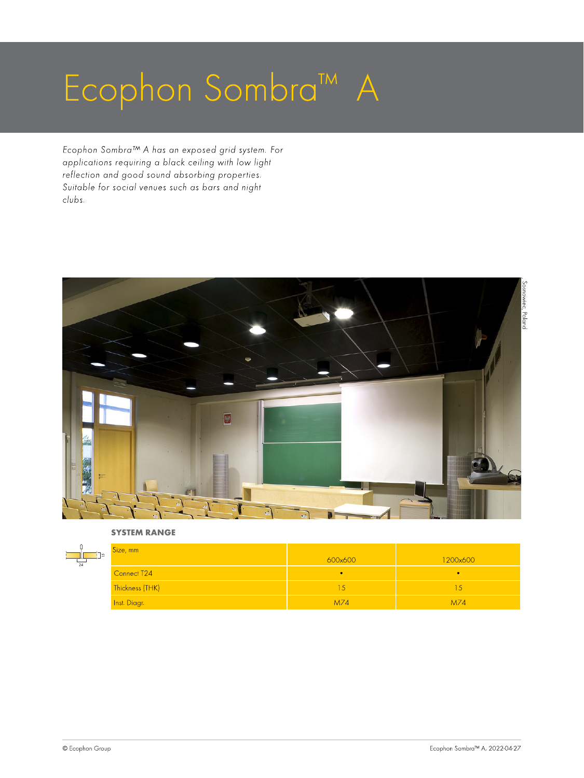# Ecophon Sombra™ A

Ecophon Sombra™ A has an exposed grid system. For applications requiring a black ceiling with low light reflection and good sound absorbing properties. Suitable for social venues such as bars and night clubs.



#### SYSTEM RANGE

| l so<br>$\overline{24}$ | Size, mm        | 600x600 | 1200x600 |
|-------------------------|-----------------|---------|----------|
|                         | Connect T24     |         |          |
|                         | Thickness (THK) |         | ı.C      |
|                         | Inst. Diagr.    | M74     | M74      |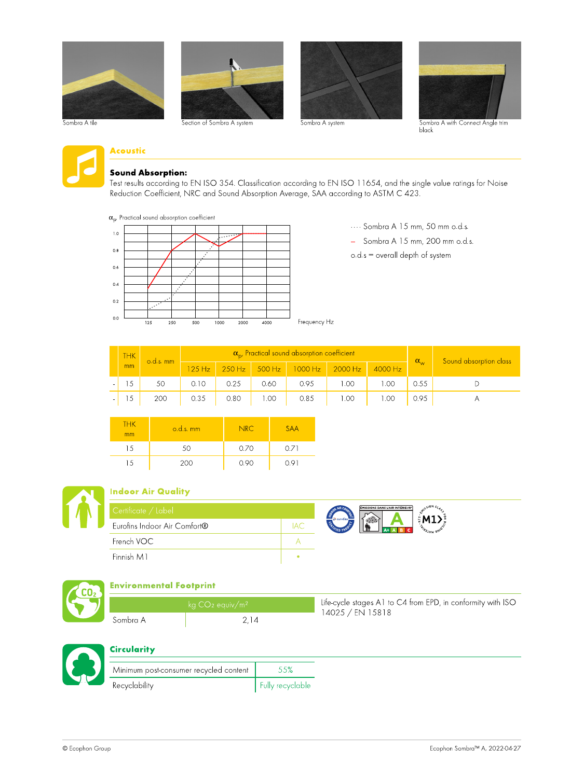













# Acoustic

#### Sound Absorption:

Test results according to EN ISO 354. Classification according to EN ISO 11654, and the single value ratings for Noise Reduction Coefficient, NRC and Sound Absorption Average, SAA according to ASTM C 423.

 $\alpha_{\rm p}$ , Practical sound absorption coefficient



···· Sombra A 15 mm, 50 mm o.d.s.

- Sombra A 15 mm, 200 mm o.d.s.
- o.d.s = overall depth of system

| <b>THK</b> | $o.d.s.$ mm |                    |      |      | $\alpha_{\rm rot}$ Practical sound absorption coefficient |                                 |           | $-\alpha_{w}$ | Sound absorption class |
|------------|-------------|--------------------|------|------|-----------------------------------------------------------|---------------------------------|-----------|---------------|------------------------|
| mm         |             | 125 H <sub>z</sub> |      |      |                                                           | 250 Hz 300 Hz 1000 Hz 2000 Hz 1 | $4000$ Hz |               |                        |
| $\sim$     |             | 0.10               |      | 0.60 | 0.95                                                      |                                 |           | 0.55          |                        |
|            | 20C         | 0.35               | 0.80 |      | 0.85                                                      |                                 |           | 0.95          |                        |

| <b>THK</b><br>mm | o.d.s. mm | NRC  | SAA   |
|------------------|-----------|------|-------|
| 15               | 50        | 0.70 | 0.71  |
| 15               | 200       | 0.90 | 0 O I |



#### Indoor Air Quality

| Certificate / Label          |                    | ÉMISSION |
|------------------------------|--------------------|----------|
| Eurofins Indoor Air Comfort® | <b>68</b> eurofins |          |
| French VOC                   |                    |          |
| Finnish M1                   |                    |          |





#### Environmental Footprint

|          | $\log$ CO <sub>2</sub> equiv/m <sup>2</sup> | Life-cycle stages A1 to C4 from EPD, in conformity with ISO |
|----------|---------------------------------------------|-------------------------------------------------------------|
| Sombra A |                                             | 14025 / EN 15818                                            |



# **Circularity**

| Minimum post-consumer recycled content | .55%             |
|----------------------------------------|------------------|
| Recyclability                          | Fully recyclable |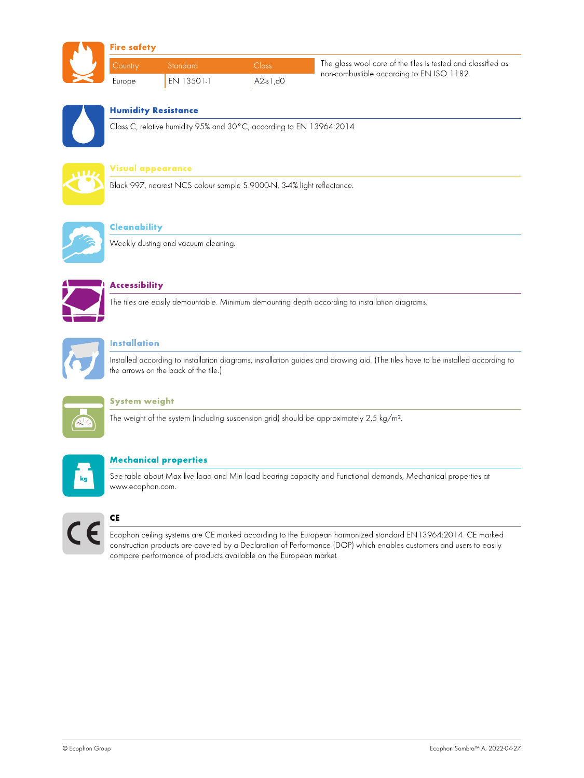

#### Fire safety

| l Country     | - Standard  | <b>Inss</b> | The glass wool core of the tiles is tested and classified as |
|---------------|-------------|-------------|--------------------------------------------------------------|
| <b>Lurope</b> | en 13.501-1 | A2-s1,d0    | non-combustible according to EN ISO 1182.                    |



# Humidity Resistance

Class C, relative humidity 95% and 30°C, according to EN 13964:2014



# Visual appearance

Black 997, nearest NCS colour sample S 9000-N, 3-4% light reflectance.



#### **Cleanability**

Weekly dusting and vacuum cleaning.



# **Accessibility**

The tiles are easily demountable. Minimum demounting depth according to installation diagrams.



### Installation

Installed according to installation diagrams, installation guides and drawing aid. (The tiles have to be installed according to the arrows on the back of the tile.)



#### System weight

The weight of the system (including suspension grid) should be approximately 2,5 kg/m².



# Mechanical properties

See table about Max live load and Min load bearing capacity and Functional demands, Mechanical properties at www.ecophon.com.



# **CE**

Ecophon ceiling systems are CE marked according to the European harmonized standard EN13964:2014. CE marked construction products are covered by a Declaration of Performance (DOP) which enables customers and users to easily compare performance of products available on the European market.